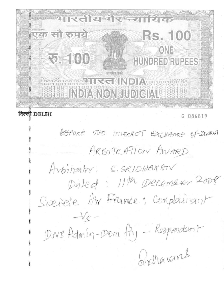रिन्या  $\overline{J}$   $\overline{J}$ त्पक सौ रुपये **RS. 100** ONE **RO. - 100 HUNDRED RUPEES GHNDIA** 80100100 **BELISS INDIA NON JUDICIALS SERIES** 

# दिल्ली DELHI

086819 G

BEFORE THE INTERRET EXCHANGE OF DIVOIA ARBITRATION AWARD Arbitrativ: S.SRIDIAARAM Dated: 11th December 2008 Scriete Hir France: Complainant  $-\sqrt{c}$  -DNS Admin-Dom fh, - Respondent Girllarans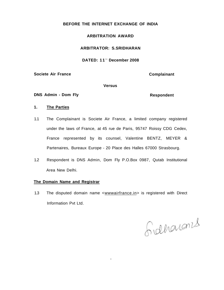# **BEFORE THE INTERNET EXCHANGE OF INDIA**

# **ARBITRATION AWARD**

# **ARBITRATOR: S.SRIDHARAN**

## **DATED: 11 <sup>t</sup> <sup>n</sup> December 2008**

**Societe Air France** Complainant

#### **Versus**

**DNS Admin - Dom Fly Community Respondent Respondent** 

#### **1. The Parties**

- 1.1 The Complainant is Societe Air France, a limited company registered under the laws of France, at 45 rue de Paris, 95747 Roissy CDG Cedex, France represented by its counsel, Valentine BENTZ, MEYER & Partenaires, Bureaux Europe - 20 Place des Halles 67000 Strasbourg.
- 1.2 Respondent is DNS Admin, Dom Fly P.O.Box 0987, Qutab Institutional Area New Delhi.

### **The Domain Name and Registrar**

1.3 The disputed domain name <wwwairfrance.in> is registered with Direct Information Pvt Ltd.

l

Gidharans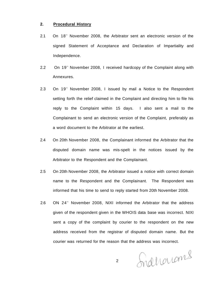# **2. Procedural History**

- 2.1 On 18<sup>th</sup> November 2008, the Arbitrator sent an electronic version of the signed Statement of Acceptance and Declaration of Impartiality and Independence.
- 2.2 On 19<sup>th</sup> November 2008, I received hardcopy of the Complaint along with Annexures.
- 2.3 On 19<sup>th</sup> November 2008, I issued by mail a Notice to the Respondent setting forth the relief claimed in the Complaint and directing him to file his reply to the Complaint within 15 days. I also sent a mail to the Complainant to send an electronic version of the Complaint, preferably as a word document to the Arbitrator at the earliest.
- 2.4 On 20th November 2008, the Complainant informed the Arbitrator that the disputed domain name was mis-spelt in the notices issued by the Arbitrator to the Respondent and the Complainant.
- 2.5 On 20th November 2008, the Arbitrator issued a notice with correct domain name to the Respondent and the Complainant. The Respondent was informed that his time to send to reply started from 20th November 2008.
- 2.6 ON 24<sup>th</sup> November 2008, NIXI informed the Arbitrator that the address given of the respondent given in the WHOIS data base was incorrect. NIXI sent a copy of the complaint by courier to the respondent on the new address received from the registrar of disputed domain name. But the courier was returned for the reason that the address was incorrect.

Indharroms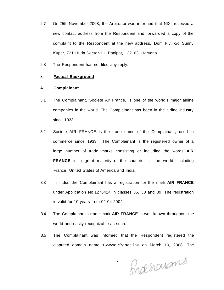- 2.7 On 25th November 2008, the Arbitrator was informed that NIXI received a new contact address from the Respondent and forwarded a copy of the complaint to the Respondent at the new address, Dom Fly, c/o Sunny Kuper, 721 Huda Sector-11, Panipat, 132103, Haryana
- 2.8 The Respondent has not filed any reply.

# 3. **Factual Background**

#### **A Complainant**

- 3.1 The Complainant, Societe Air France, is one of the world's major airline companies in the world. The Complainant has been in the airline industry since 1933.
- 3.2 Societe AIR FRANCE is the trade name of the Complainant, used in commerce since 1933. The Complainant is the registered owner of a large number of trade marks consisting or including the words **AIR FRANCE** in a great majority of the countries in the world, including France, United States of America and India.
- 3.3 In India, the Complainant has a registration for the mark **AIR FRANCE**  under Application No.1276424 in classes 35, 38 and 39. The registration is valid for 10 years from 02-04-2004.
- 3.4 The Complainant's trade mark **AIR FRANCE** is well known throughout the world and easily recognizable as such.
- 3.5 The Complainant was informed that the Respondent registered the disputed domain name <wwwairfrance.in> on March 10, 2008. The

Snachanams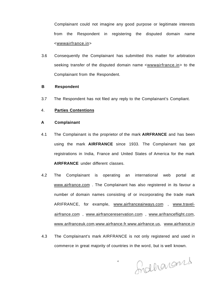Complainant could not imagine any good purpose or legitimate interests from the Respondent in registering the disputed domain name <wwwairfrance.in>

3.6 Consequently the Complainant has submitted this matter for arbitration seeking transfer of the disputed domain name <wwwairfrance.in> to the Complainant from the Respondent.

# **B Respondent**

3.7 The Respondent has not filed any reply to the Complainant's Compliant.

# 4. **Parties Contentions**

## **A Complainant**

- 4.1 The Complainant is the proprietor of the mark **AIRFRANCE** and has been using the mark **AIRFRANCE** since 1933. The Complainant has got registrations in India, France and United States of America for the mark **AIRFRANCE** under different classes.
- 4.2 The Complainant is operating an international web portal at [www.airfrance.com .](http://www.airfrance.com) The Complainant has also registered in its favour a number of domain names consisting of or incorporating the trade mark ARIFRANCE, for example, [www.airfranceairways.com](http://www.airfranceairways.com) , [www.travel](http://www.travel-)[airfrance.com](http://airfrance.com) , [www.airfrancereservation.com](http://www.airfrancereservation.com) , [www.arifranceflight.com,](http://www.arifranceflight.com) [www.arifranceuk.com,](http://www.arifranceuk.com)[www.airfrance.fr.www.airfrance.us,](http://www.airfrance.fr.www.airfrance.us) [www.airfrance.in](http://www.airfrance.in)
- 4.3 The Complainant's mark AIRFRANCE is not only registered and used in commerce in great majority of countries in the word, but is well known.

Indharans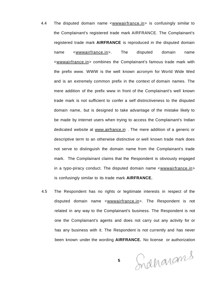- 4.4 The disputed domain name <wwwairfrance.in> is confusingly similar to the Complainant's registered trade mark AIRFRANCE. The Complainant's registered trade mark **AIRFRANCE** is reproduced in the disputed domain name <wwwairfrance.in>. The disputed domain name <wwwairfrance.in> combines the Complainant's famous trade mark with the prefix www. WWW is the well known acronym for World Wide Wed and is an extremely common prefix in the context of domain names. The mere addition of the prefix www in front of the Complainant's well known trade mark is not sufficient to confer a self distinctiveness to the disputed domain name, but is designed to take advantage of the mistake likely to be made by internet users when trying to access the Complainant's Indian dedicated website at [www.airfrance.in](http://www.airfrance.in) . The mere addition of a generic or descriptive term to an otherwise distinctive or well known trade mark does not serve to distinguish the domain name from the Complainant's trade mark. The Complainant claims that the Respondent is obviously engaged in a typo-piracy conduct. The disputed domain name <wwwairfrance.in> is confusingly similar to its trade mark **AIRFRANCE.**
- 4.5 The Respondent has no rights or legitimate interests in respect of the disputed domain name <wwwairfrance.in>. The Respondent is not related in any way to the Complainant's business. The Respondent is not one the Complainant's agents and does not carry out any activity for or has any business with it. The Respondent is not currently and has never been known under the wording **AIRFRANCE.** No license or authorization

Indharams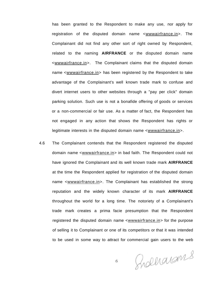has been granted to the Respondent to make any use, nor apply for registration of the disputed domain name <wwwairfrance.in>. The Complainant did not find any other sort of right owned by Respondent, related to the naming **AIRFRANCE** or the disputed domain name <wwwairfrance.in>. The Complainant claims that the disputed domain name <wwwairfrance.in> has been registered by the Respondent to take advantage of the Complainant's well known trade mark to confuse and divert internet users to other websites through a "pay per click" domain parking solution. Such use is not a bonafide offering of goods or services or a non-commercial or fair use. As a matter of fact, the Respondent has not engaged in any action that shows the Respondent has rights or legitimate interests in the disputed domain name <wwwairfrance.in>.

4.6 The Complainant contends that the Respondent registered the disputed domain name <wwwairfrance.in> in bad faith. The Respondent could not have ignored the Complainant and its well known trade mark **AIRFRANCE**  at the time the Respondent applied for registration of the disputed domain name <wwwairfrance.in>. The Complainant has established the strong reputation and the widely known character of its mark **AIRFRANCE**  throughout the world for a long time. The notoriety of a Complainant's trade mark creates a prima facie presumption that the Respondent registered the disputed domain name <wwwairfrance.in> for the purpose of selling it to Complainant or one of its competitors or that it was intended to be used in some way to attract for commercial gain users to the web

Procharans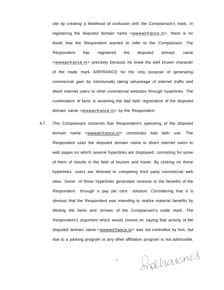site by creating a likelihood of confusion with the Complainant's mark. In registering the disputed domain name <wwwairfrance.in>, there is no doubt that the Respondent wanted to refer to the Complainant. The Respondent has registered the disputed domain name <wwwairfrance.in> precisely because he knew the well known character of the trade mark AIRFRANCE for the only purpose of generating commercial gain by intentionally taking advantage of internet traffic and divert internet users to other commercial websites through hyperlinks. The combination of facts is asserting the bad faith registration of the disputed domain name <wwwairfrance.in> by the Respondent.

4.7 The Complainant contends that Respondent's operating of the disputed domain name <wwwairfrance.in> constitutes bad faith use. The Respondent uses the disputed domain name to divert internet users to web pages on which several hyperlinks are displayed, consisting for some of them of results in the field of tourism and travel. By clicking on these hyperlinks, users are directed to competing third party commercial web sites. Some of those hyperlinks generated revenue to the benefits of the Respondent through a pay per click solution. Considering that it is obvious that the Respondent was intending to realize material benefits by diluting the fame and renown of the Complainant's trade mark. The Respondent's argument which would consist on saying that activity of the disputed domain name <wwwairfrance.in> was not controlled by him, but due to a parking program or any other affiliation program is not admissible.

frællanams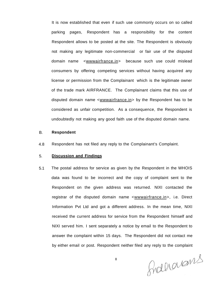It is now established that even if such use commonly occurs on so called parking pages, Respondent has a responsibility for the content Respondent allows to be posted at the site. The Respondent is obviously not making any legitimate non-commercial or fair use of the disputed domain name <wwwairfrance.in> because such use could mislead consumers by offering competing services without having acquired any license or permission from the Complainant which is the legitimate owner of the trade mark AIRFRANCE. The Complainant claims that this use of disputed domain name <wwwairfrance.in> by the Respondent has to be considered as unfair competition. As a consequence, the Respondent is undoubtedly not making any good faith use of the disputed domain name.

#### B. **Respondent**

4.8 Respondent has not filed any reply to the Complainant's Complaint.

#### 5. **Discussion and Findings**

5.1 The postal address for service as given by the Respondent in the WHOIS data was found to be incorrect and the copy of complaint sent to the Respondent on the given address was returned. NIXI contacted the registrar of the disputed domain name <wwwairfrance.in>, i.e. Direct Information Pvt Ltd and got a different address. In the mean time, NIXI received the current address for service from the Respondent himself and NIXI served him. I sent separately a notice by email to the Respondent to answer the complaint within 15 days. The Respondent did not contact me by either email or post. Respondent neither filed any reply to the complaint

Indharams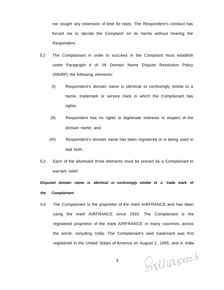nor sought any extension of time for reply. The Respondent's conduct has forced me to decide the Complaint on its merits without hearing the Respondent.

- 5.2 The Complainant in order to succeed in the Complaint must establish under Paragraph 4 of .IN Domain Name Dispute Resolution Policy (INDRP) the following elements:
	- (I) Respondent's domain name is identical or confusingly similar to a name, trademark or service mark in which the Complainant has rights;
	- (II) Respondent has no rights or legitimate interests in respect of the domain name; and
	- (III) Respondent's domain name has been registered or is being used in bad faith.
- 5.3 Each of the aforesaid three elements must be proved by a Complainant to warrant relief.

**Disputed domain name is identical or confusingly similar to a trade mark of the Complainant.** 

5.4 The Complainant is the proprietor of the mark AIRFRANCE and has been using the mark AIRFRANCE since 1933. The Complainant is the registered proprietor of the mark AIRFRANCE in many countries across the world, including India. The Complainant's said trademark was first registered in the United States of America on August 2, 1955, and in India

Grandmans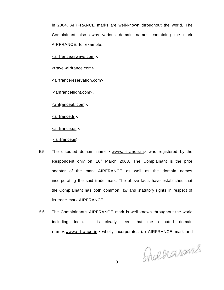in 2004. AIRFRANCE marks are well-known throughout the world. The Complainant also owns various domain names containing the mark AIRFRANCE, for example,

<airfranceairwavs.com>.

<travel-airfrance.com>,

<airfrancereservation.com>,

<[arifrancefliqht.com>](http://arifrancefliqht.com).

<arifranceuk.com>,

<[airfrance.fr>](http://airfrance.fr),

<airfrance.us>.

<airfrance.in>

- 5.5 The disputed domain name <wwwairfrance.in> was registered by the Respondent only on 10<sup>th</sup> March 2008. The Complainant is the prior adopter of the mark AIRFRANCE as well as the domain names incorporating the said trade mark. The above facts have established that the Complainant has both common law and statutory rights in respect of its trade mark AIRFRANCE.
- 5.6 The Complainant's AIRFRANCE mark is well known throughout the world including India. It is clearly seen that the disputed domain name<wwwairfrance.in> wholly incorporates (a) AIRFRANCE mark and

Graharans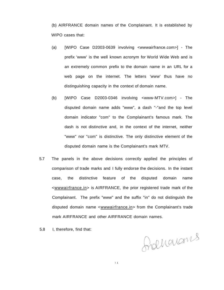(b) AIRFRANCE domain names of the Complainant. It is established by WIPO cases that:

- (a) [WIPO Case D2003-0639 involving <wwwairfrance.com>] The prefix 'www' is the well known acronym for World Wide Web and is an extremely common prefix to the domain name in an URL for a web page on the internet. The letters 'www' thus have no distinguishing capacity in the context of domain name.
- (b) [WIPO Case D2003-0346 involving <www-MTV.com>] The disputed domain name adds "www", a dash "-"and the top level domain indicator "com" to the Complainant's famous mark. The dash is not distinctive and, in the context of the internet, neither "www" nor "com" is distinctive. The only distinctive element of the disputed domain name is the Complainant's mark MTV.
- 5.7 The panels in the above decisions correctly applied the principles of comparison of trade marks and I fully endorse the decisions. In the instant case, the distinctive feature of the disputed domain name <wwwairfrance.in> is AIRFRANCE, the prior registered trade mark of the Complainant. The prefix "www" and the suffix "in" do not distinguish the disputed domain name <wwwairfrance.in> from the Complainant's trade mark AIRFRANCE and other AIRFRANCE domain names.
- 5.8 I, therefore, find that:

franquans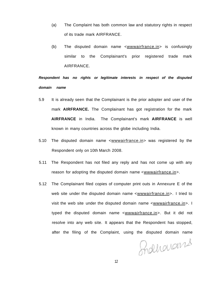- (a) The Complaint has both common law and statutory rights in respect of its trade mark AIRFRANCE.
- (b) The disputed domain name <wwwairfrance.in> is confusingly similar to the Complainant's prior registered trade mark AIRFRANCE.

**Respondent has no rights or legitimate interests in respect of the disputed domain name** 

- 5.9 It is already seen that the Complainant is the prior adopter and user of the mark **AIRFRANCE.** The Complainant has got registration for the mark **AIRFRANCE** in India. The Complainant's mark **AIRFRANCE** is well known in many countries across the globe including India.
- 5.10 The disputed domain name <wwwairfrance.in> was registered by the Respondent only on 10th March 2008.
- 5.11 The Respondent has not filed any reply and has not come up with any reason for adopting the disputed domain name <wwwairfrance.in>.
- 5.12 The Complainant filed copies of computer print outs in Annexure E of the web site under the disputed domain name <wwwairfrance.in>. I tried to visit the web site under the disputed domain name <wwwairfrance.in>. I typed the disputed domain name <wwwairfrance.in>. But it did not resolve into any web site. It appears that the Respondent has stopped, after the filing of the Complaint, using the disputed domain name

Indharams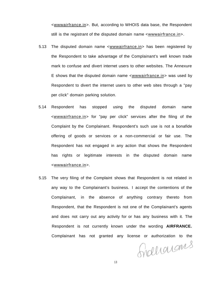<wwwairfrance.in>. But, according to WHOIS data base, the Respondent still is the registrant of the disputed domain name <wwwairfrance.in>.

- 5.13 The disputed domain name <wwwairfrance.in> has been registered by the Respondent to take advantage of the Complainant's well known trade mark to confuse and divert internet users to other websites. The Annexure E shows that the disputed domain name <wwwairfrance.in> was used by Respondent to divert the internet users to other web sites through a "pay per click" domain parking solution.
- 5.14 Respondent has stopped using the disputed domain name <wwwairfrance.in> for "pay per click" services after the filing of the Complaint by the Complainant. Respondent's such use is not a bonafide offering of goods or services or a non-commercial or fair use. The Respondent has not engaged in any action that shows the Respondent has rights or legitimate interests in the disputed domain name <wwwairfrance.in>.
- 5.15 The very filing of the Complaint shows that Respondent is not related in any way to the Complainant's business. I accept the contentions of the Complainant, in the absence of anything contrary thereto from Respondent, that the Respondent is not one of the Complainant's agents and does not carry out any activity for or has any business with it. The Respondent is not currently known under the wording **AIRFRANCE.**  Complainant has not granted any license or authorization to the

Grahamans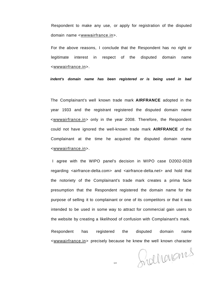Respondent to make any use, or apply for registration of the disputed domain name <wwwairfrance.in>.

For the above reasons, I conclude that the Respondent has no right or legitimate interest in respect of the disputed domain name <wwwairfrance.in>.

**indent's domain name has been registered or is being used in bad** 

The Complainant's well known trade mark **AIRFRANCE** adopted in the year 1933 and the registrant registered the disputed domain name <wwwairfrance.in> only in the year 2008. Therefore, the Respondent could not have ignored the well-known trade mark **AIRFRANCE** of the Complainant at the time he acquired the disputed domain name <wwwairfrance.in>.

I agree with the WIPO panel's decision in WIPO case D2002-0028 regarding <airfrance-delta.com> and <airfrance-delta.net> and hold that the notoriety of the Complainant's trade mark creates a prima facie presumption that the Respondent registered the domain name for the purpose of selling it to complainant or one of its competitors or that it was intended to be used in some way to attract for commercial gain users to the website by creating a likelihood of confusion with Complainant's mark.

Respondent has registered the disputed domain name <wwwairfrance.in> precisely because he knew the well known character

Grahamans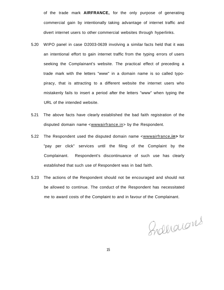of the trade mark **AIRFRANCE,** for the only purpose of generating commercial gain by intentionally taking advantage of internet traffic and divert internet users to other commercial websites through hyperlinks.

- 5.20 WIPO panel in case D2003-0639 involving a similar facts held that it was an intentional effort to gain internet traffic from the typing errors of users seeking the Complainant's website. The practical effect of preceding a trade mark with the letters "www" in a domain name is so called typopiracy, that is attracting to a different website the internet users who mistakenly fails to insert a period after the letters "www" when typing the URL of the intended website.
- 5.21 The above facts have clearly established the bad faith registration of the disputed domain name <wwwairfrance.in> by the Respondent.
- 5.22 The Respondent used the disputed domain name <wwwairfrance**.in>** for "pay per click" services until the filing of the Complaint by the Complainant. Respondent's discontinuance of such use has clearly established that such use of Respondent was in bad faith.
- 5.23 The actions of the Respondent should not be encouraged and should not be allowed to continue. The conduct of the Respondent has necessitated me to award costs of the Complaint to and in favour of the Complainant.

Inderacons